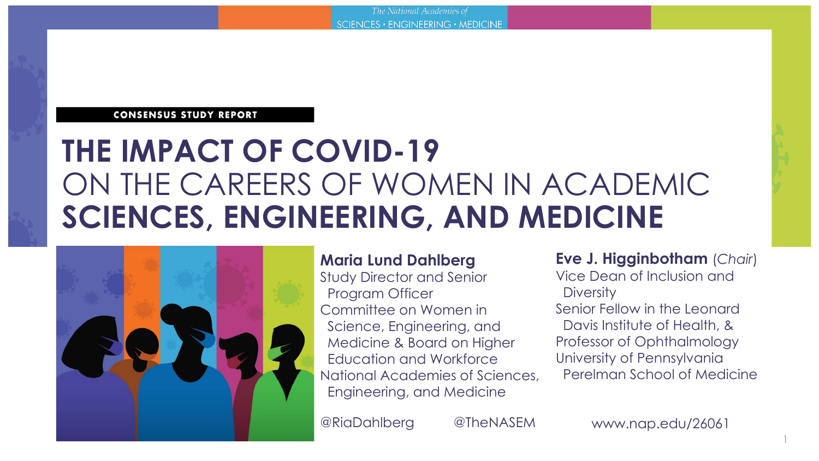#### **CONSENSUS STUDY REPORT**

### **THE IMPACT OF COVID-19**  ON THE CAREERS OF WOMEN IN ACADEMIC **SCIENCES, ENGINEERING, AND MEDICINE**



#### **Maria Lund Dahlberg**

Study Director and Senior Program Officer Committee on Women in Science, Engineering, and Medicine & Board on Higher Education and Workforce National Academies of Sciences, Engineering, and Medicine

@RiaDahlberg @TheNASEM

**Eve J. Higginbotham** (*Chair*)

Vice Dean of Inclusion and **Diversity** 

Senior Fellow in the Leonard Davis Institute of Health, & Professor of Ophthalmology University of Pennsylvania Perelman School of Medicine

www.nap.edu/26061

1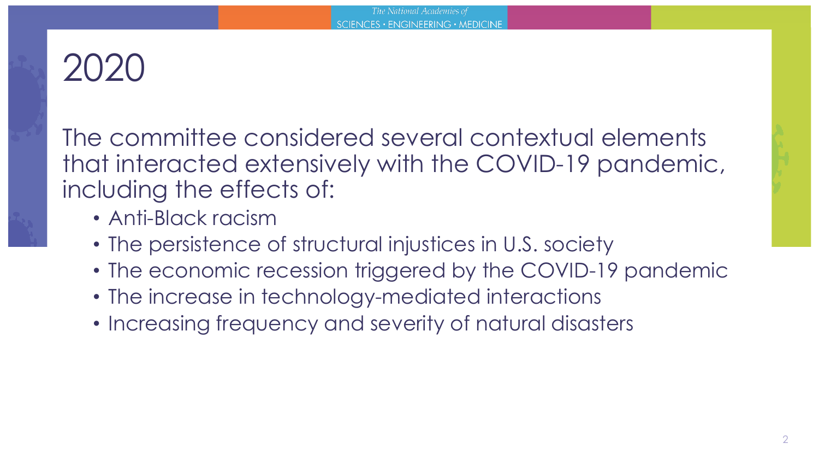# $2020$

The committee considered several contextual elements that interacted extensively with the COVID-19 pandemic, including the effects of:

- Anti-Black racism
- The persistence of structural injustices in U.S. society
- The economic recession triggered by the COVID-19 pandemic
- The increase in technology-mediated interactions
- Increasing frequency and severity of natural disasters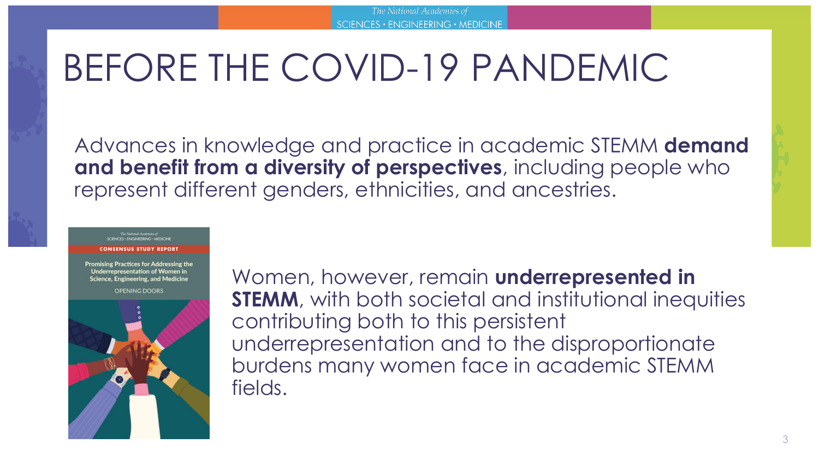# BEFORE THE COVID-19 PANDEMIC

Advances in knowledge and practice in academic STEMM **demand and benefit from a diversity of perspectives**, including people who represent different genders, ethnicities, and ancestries.

The National Academies of<br>SCIENCES - ENGINEERING - MEDICINE

**CONSENSUS STUDY REPORT** 

**Promising Practices for Addressing the Underrepresentation of Women in Science, Engineering, and Medicine** 

**OPENING DOORS** 



Women, however, remain **underrepresented in STEMM**, with both societal and institutional inequities contributing both to this persistent underrepresentation and to the disproportionate burdens many women face in academic STEMM fields.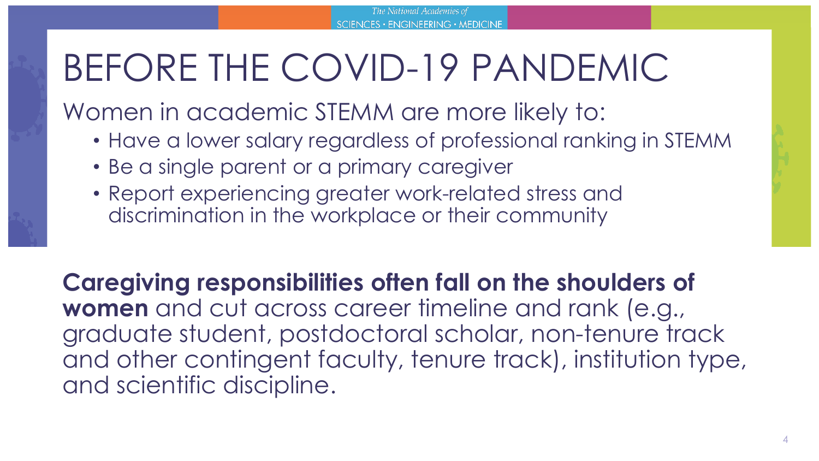# BEFORE THE COVID-19 PANDEMIC

Women in academic STEMM are more likely to:

- Have a lower salary regardless of professional ranking in STEMM
- Be a single parent or a primary caregiver
- Report experiencing greater work-related stress and discrimination in the workplace or their community

**Caregiving responsibilities often fall on the shoulders of women** and cut across career timeline and rank (e.g., graduate student, postdoctoral scholar, non-tenure track and other contingent faculty, tenure track), institution type, and scientific discipline.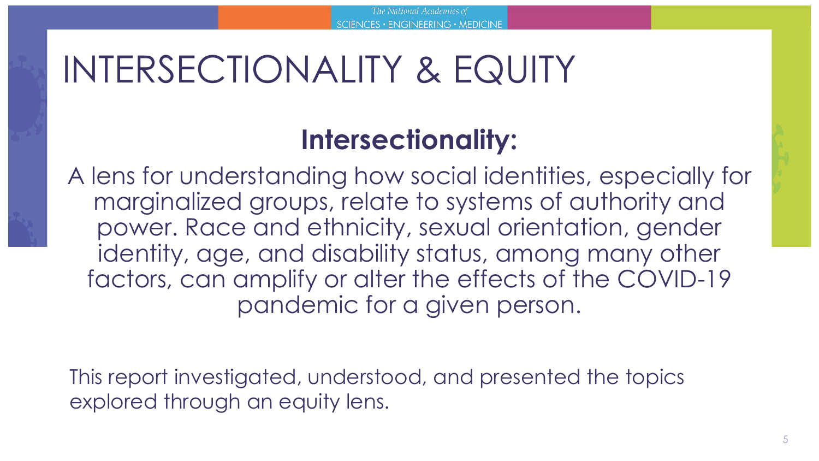## INTERSECTIONALITY & EQUITY

### **Intersectionality:**

A lens for understanding how social identities, especially for marginalized groups, relate to systems of authority and power. Race and ethnicity, sexual orientation, gender identity, age, and disability status, among many other factors, can amplify or alter the effects of the COVID-19 pandemic for a given person.

This report investigated, understood, and presented the topics explored through an equity lens.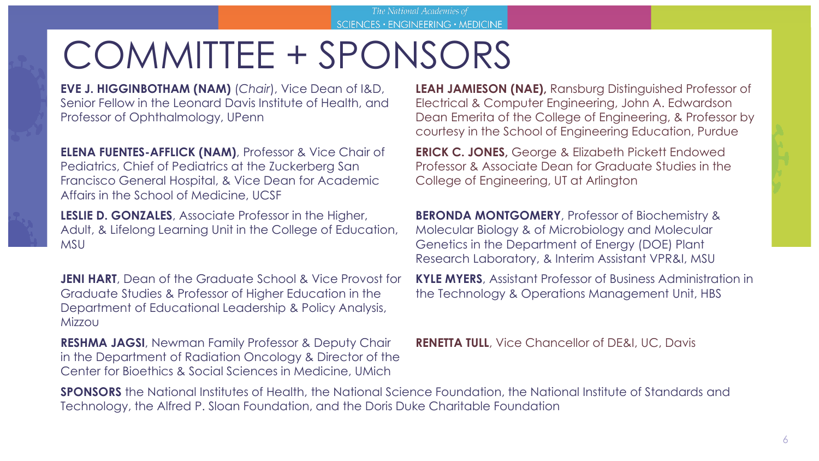# COMMITTEE + SPONSORS

**EVE J. HIGGINBOTHAM (NAM)** (*Chair*), Vice Dean of I&D, Senior Fellow in the Leonard Davis Institute of Health, and Professor of Ophthalmology, UPenn

**ELENA FUENTES-AFFLICK (NAM)**, Professor & Vice Chair of Pediatrics, Chief of Pediatrics at the Zuckerberg San Francisco General Hospital, & Vice Dean for Academic Affairs in the School of Medicine, UCSF

**LESLIE D. GONZALES**, Associate Professor in the Higher, Adult, & Lifelong Learning Unit in the College of Education, **MSU** 

**JENI HART**, Dean of the Graduate School & Vice Provost for Graduate Studies & Professor of Higher Education in the Department of Educational Leadership & Policy Analysis, Mizzou

**RESHMA JAGSI**, Newman Family Professor & Deputy Chair in the Department of Radiation Oncology & Director of the Center for Bioethics & Social Sciences in Medicine, UMich

**LEAH JAMIESON (NAE),** Ransburg Distinguished Professor of Electrical & Computer Engineering, John A. Edwardson Dean Emerita of the College of Engineering, & Professor by courtesy in the School of Engineering Education, Purdue

**ERICK C. JONES,** George & Elizabeth Pickett Endowed Professor & Associate Dean for Graduate Studies in the College of Engineering, UT at Arlington

**BERONDA MONTGOMERY**, Professor of Biochemistry & Molecular Biology & of Microbiology and Molecular Genetics in the Department of Energy (DOE) Plant Research Laboratory, & Interim Assistant VPR&I, MSU

**KYLE MYERS**, Assistant Professor of Business Administration in the Technology & Operations Management Unit, HBS

**RENETTA TULL**, Vice Chancellor of DE&I, UC, Davis

**SPONSORS** the National Institutes of Health, the National Science Foundation, the National Institute of Standards and Technology, the Alfred P. Sloan Foundation, and the Doris Duke Charitable Foundation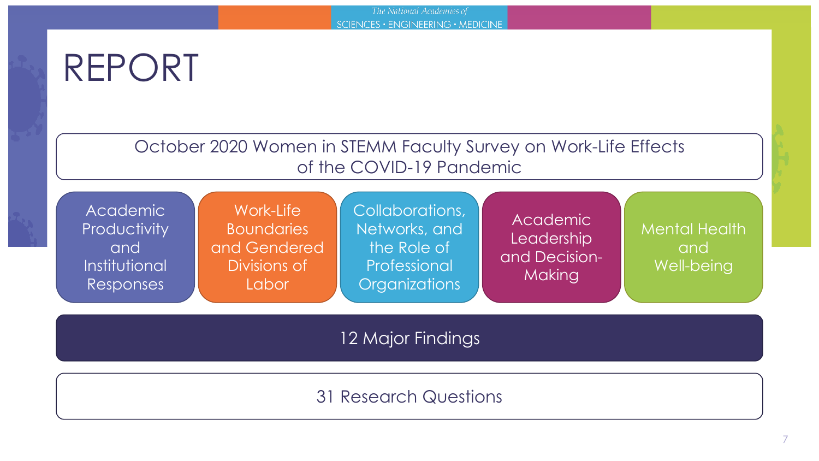### REPORT

October 2020 Women in STEMM Faculty Survey on Work-Life Effects of the COVID-19 Pandemic

|  | <b>Academic</b><br>Productivity<br>and<br>Institutional<br>Responses | Work-Life<br><b>Boundaries</b><br>and Gendered<br>Divisions of<br>Labor | Collaborations,<br>Networks, and<br>the Role of<br>Professional<br><b>Organizations</b> | Academic<br>Leadership<br>and Decision-<br><b>Making</b> | <b>Mental Health</b><br>and<br>Well-being |
|--|----------------------------------------------------------------------|-------------------------------------------------------------------------|-----------------------------------------------------------------------------------------|----------------------------------------------------------|-------------------------------------------|
|--|----------------------------------------------------------------------|-------------------------------------------------------------------------|-----------------------------------------------------------------------------------------|----------------------------------------------------------|-------------------------------------------|

12 Major Findings

### 31 Research Questions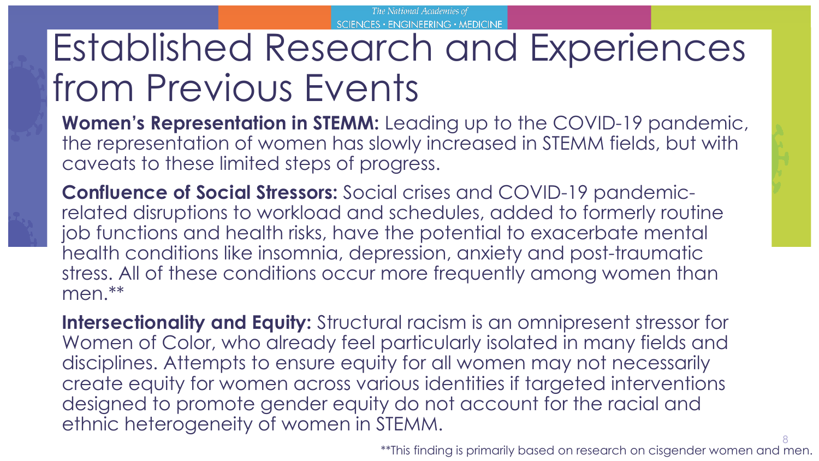## Established Research and Experiences from Previous Events

**Women's Representation in STEMM:** Leading up to the COVID-19 pandemic, the representation of women has slowly increased in STEMM fields, but with caveats to these limited steps of progress.

**Confluence of Social Stressors:** Social crises and COVID-19 pandemicrelated disruptions to workload and schedules, added to formerly routine job functions and health risks, have the potential to exacerbate mental health conditions like insomnia, depression, anxiety and post-traumatic stress. All of these conditions occur more frequently among women than men.\*\*

**Intersectionality and Equity:** Structural racism is an omnipresent stressor for Women of Color, who already feel particularly isolated in many fields and disciplines. Attempts to ensure equity for all women may not necessarily create equity for women across various identities if targeted interventions designed to promote gender equity do not account for the racial and ethnic heterogeneity of women in STEMM.

8 \*\*This finding is primarily based on research on cisgender women and men.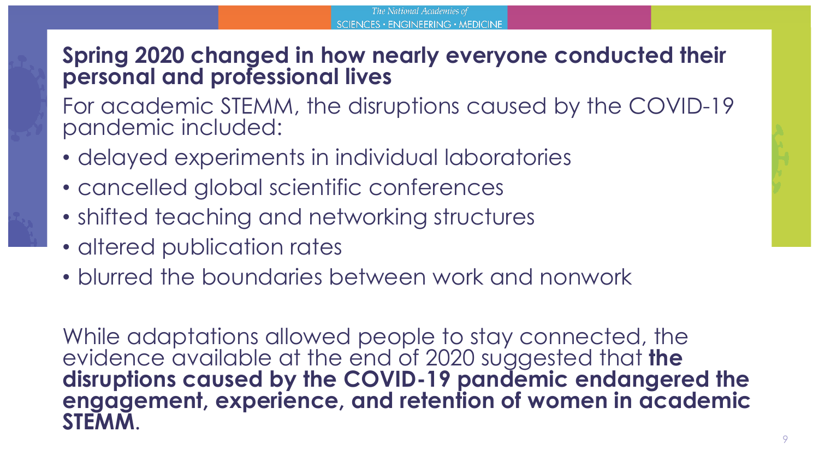### **Spring 2020 changed in how nearly everyone conducted their personal and professional lives**

For academic STEMM, the disruptions caused by the COVID-19 pandemic included:

- delayed experiments in individual laboratories
- cancelled global scientific conferences
- shifted teaching and networking structures
- altered publication rates
- blurred the boundaries between work and nonwork

While adaptations allowed people to stay connected, the evidence available at the end of 2020 suggested that **the disruptions caused by the COVID-19 pandemic endangered the engagement, experience, and retention of women in academic STEMM**.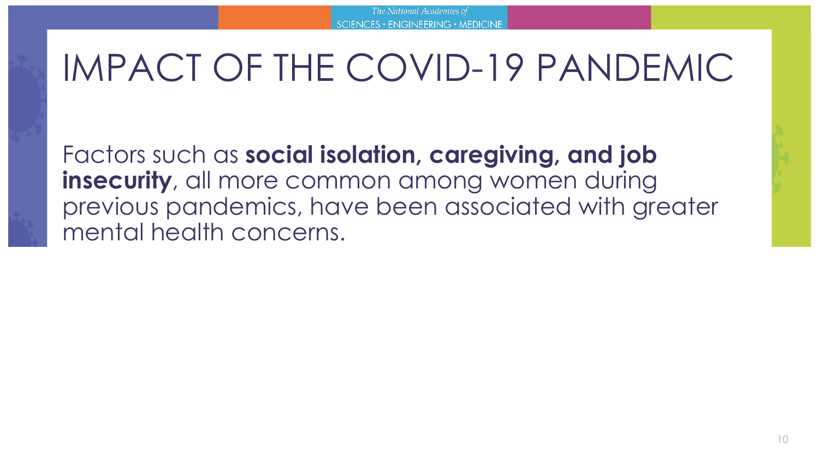Factors such as **social isolation, caregiving, and job insecurity**, all more common among women during previous pandemics, have been associated with greater mental health concerns.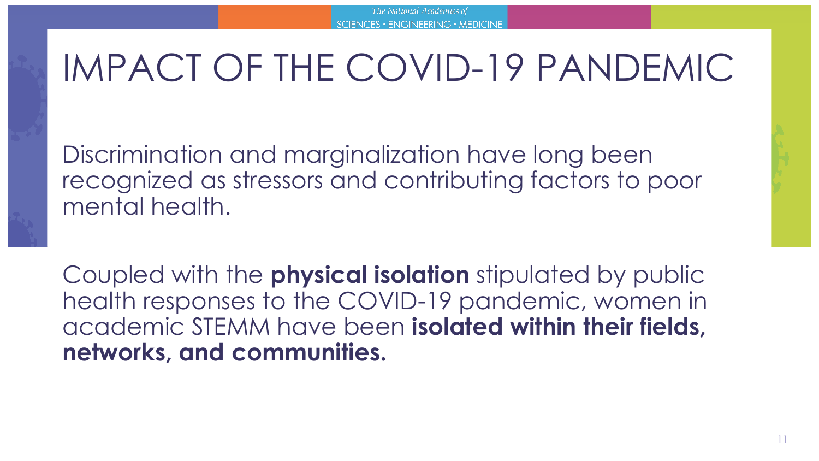Discrimination and marginalization have long been recognized as stressors and contributing factors to poor mental health.

Coupled with the **physical isolation** stipulated by public health responses to the COVID-19 pandemic, women in academic STEMM have been **isolated within their fields, networks, and communities.**

11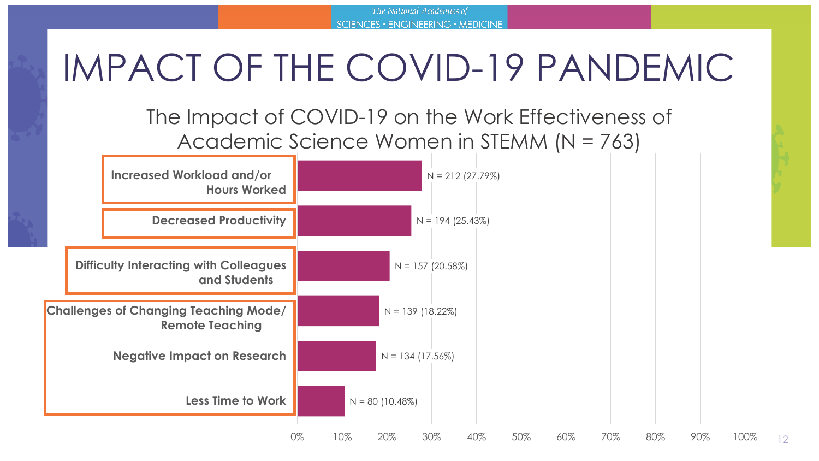The National Academies of SCIENCES · ENGINEERING · MEDICINE

### IMPACT OF THE COVID-19 PANDEMIC

### The Impact of COVID-19 on the Work Effectiveness of Academic Science Women in STEMM (N = 763)



12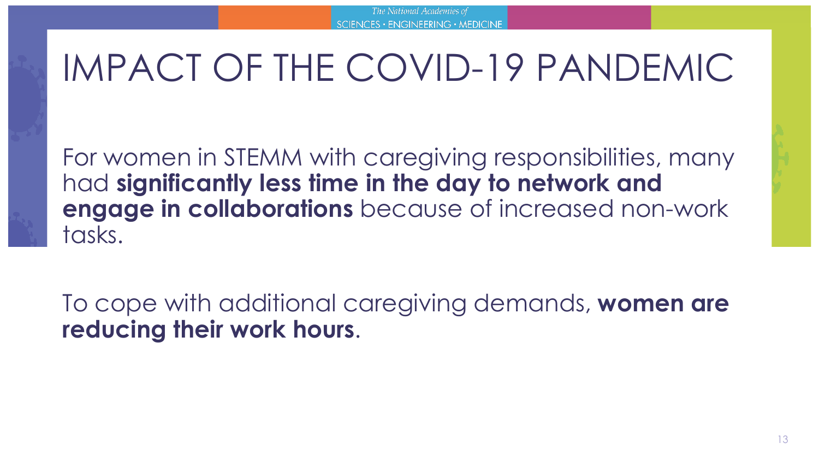For women in STEMM with caregiving responsibilities, many had **significantly less time in the day to network and engage in collaborations** because of increased non-work tasks.

To cope with additional caregiving demands, **women are reducing their work hours**.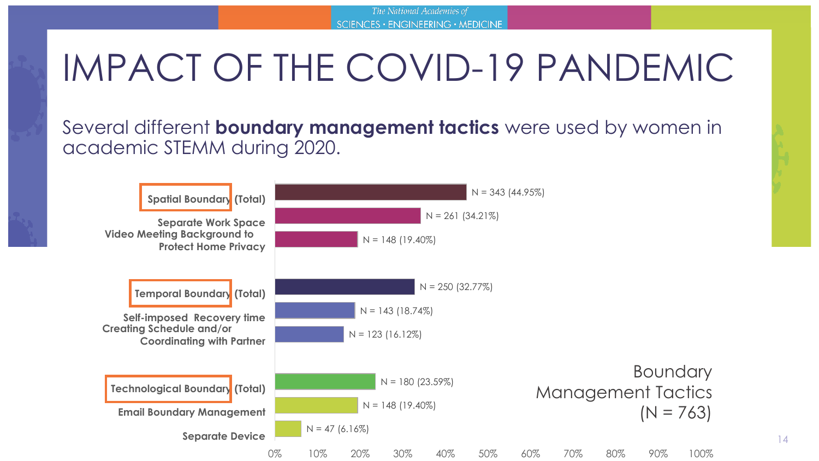Several different **boundary management tactics** were used by women in academic STEMM during 2020.



14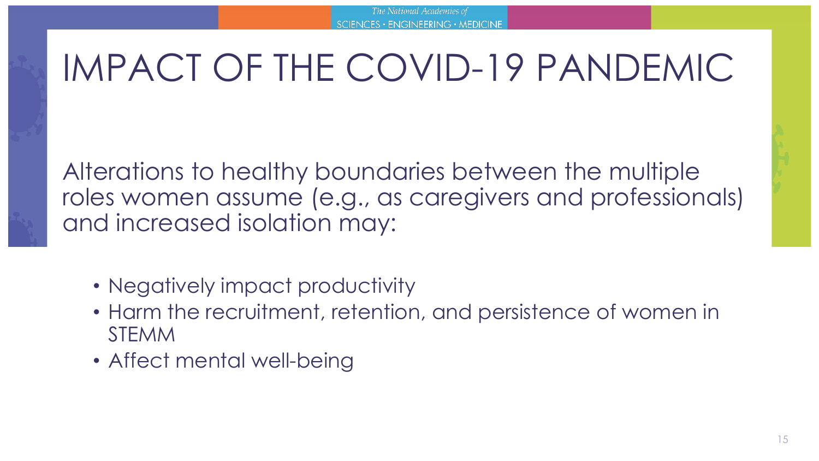Alterations to healthy boundaries between the multiple roles women assume (e.g., as caregivers and professionals) and increased isolation may:

- Negatively impact productivity
- Harm the recruitment, retention, and persistence of women in STEMM
- Affect mental well-being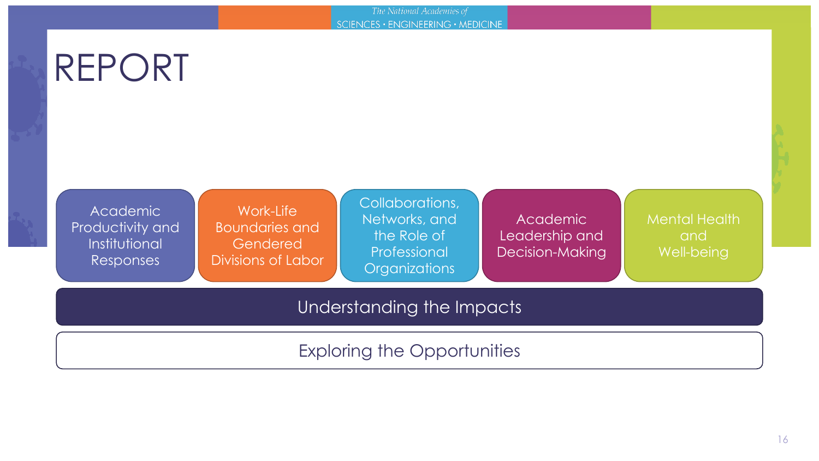The National Academies of SCIENCES · ENGINEERING · MEDICINE

# REPORT

Academic Productivity and Institutional Responses

Work-Life Boundaries and Gendered Divisions of Labor Collaborations, Networks, and the Role of Professional **Organizations** 

Academic Leadership and Decision-Making Mental Health and Well-being

Understanding the Impacts

Exploring the Opportunities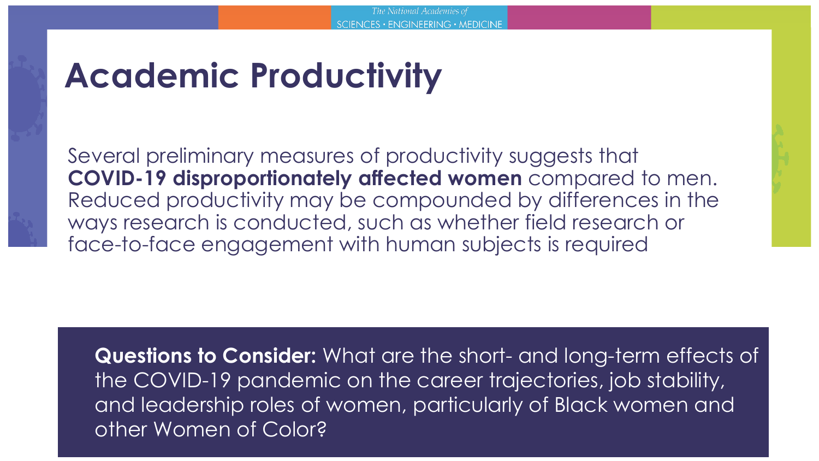### **Academic Productivity**

Several preliminary measures of productivity suggests that **COVID-19 disproportionately affected women** compared to men. Reduced productivity may be compounded by differences in the ways research is conducted, such as whether field research or face-to-face engagement with human subjects is required

**Questions to Consider:** What are the short- and long-term effects of the COVID-19 pandemic on the career trajectories, job stability, and leadership roles of women, particularly of Black women and other Women of Color?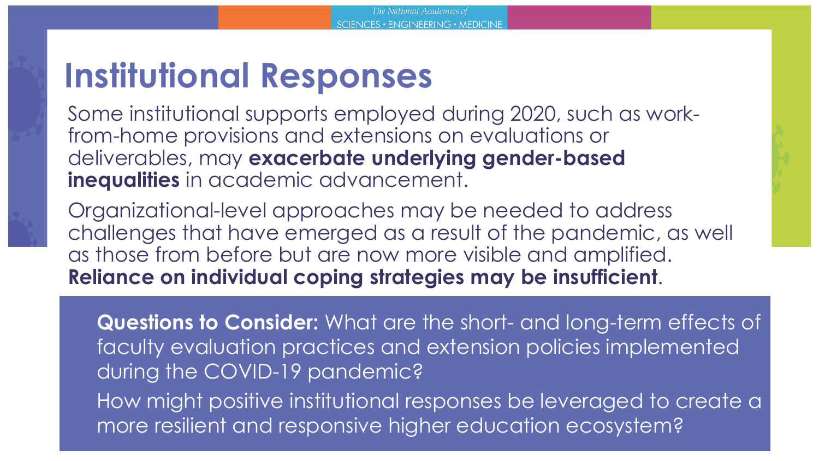### **Institutional Responses**

Some institutional supports employed during 2020, such as workfrom-home provisions and extensions on evaluations or deliverables, may **exacerbate underlying gender-based inequalities** in academic advancement.

Organizational-level approaches may be needed to address challenges that have emerged as a result of the pandemic, as well as those from before but are now more visible and amplified. **Reliance on individual coping strategies may be insufficient**.

**Questions to Consider:** What are the short- and long-term effects of faculty evaluation practices and extension policies implemented during the COVID-19 pandemic? How might positive institutional responses be leveraged to create a more resilient and responsive higher education ecosystem?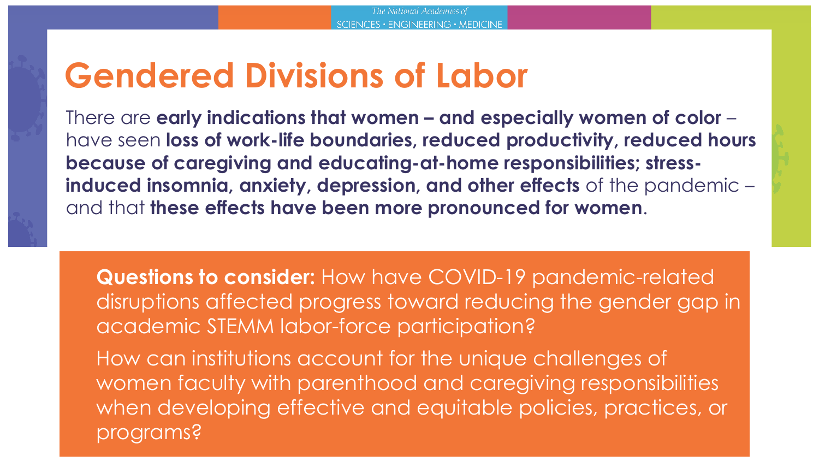### **Gendered Divisions of Labor**

There are **early indications that women – and especially women of color** – have seen **loss of work-life boundaries, reduced productivity, reduced hours because of caregiving and educating-at-home responsibilities; stressinduced insomnia, anxiety, depression, and other effects** of the pandemic – and that **these effects have been more pronounced for women**.

**Questions to consider:** How have COVID-19 pandemic-related disruptions affected progress toward reducing the gender gap in academic STEMM labor-force participation?

How can institutions account for the unique challenges of women faculty with parenthood and caregiving responsibilities when developing effective and equitable policies, practices, or programs?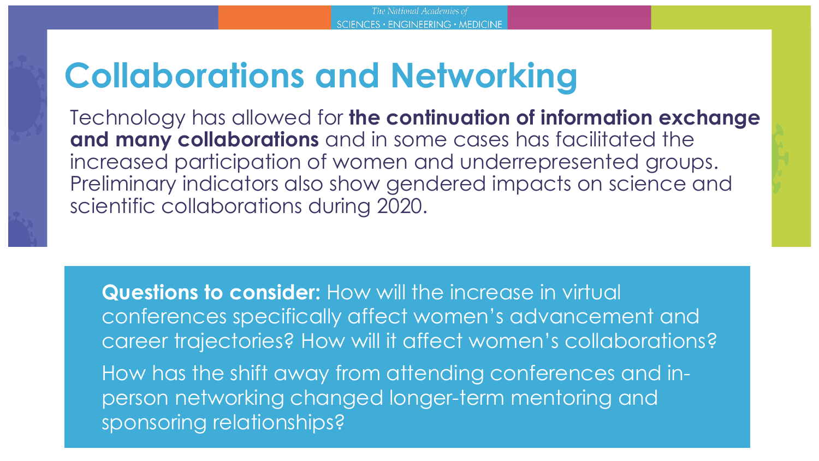### **Collaborations and Networking**

Technology has allowed for **the continuation of information exchange and many collaborations** and in some cases has facilitated the increased participation of women and underrepresented groups. Preliminary indicators also show gendered impacts on science and scientific collaborations during 2020.

**Questions to consider:** How will the increase in virtual conferences specifically affect women's advancement and career trajectories? How will it affect women's collaborations? How has the shift away from attending conferences and inperson networking changed longer-term mentoring and sponsoring relationships?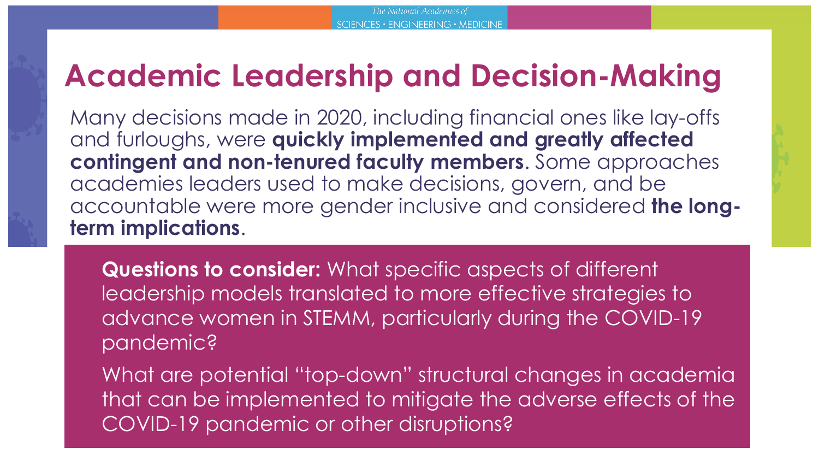### **Academic Leadership and Decision-Making**

Many decisions made in 2020, including financial ones like lay-offs and furloughs, were **quickly implemented and greatly affected contingent and non-tenured faculty members**. Some approaches academies leaders used to make decisions, govern, and be accountable were more gender inclusive and considered **the longterm implications**.

**Questions to consider:** What specific aspects of different leadership models translated to more effective strategies to advance women in STEMM, particularly during the COVID-19 pandemic?

What are potential "top-down" structural changes in academia that can be implemented to mitigate the adverse effects of the COVID-19 pandemic or other disruptions?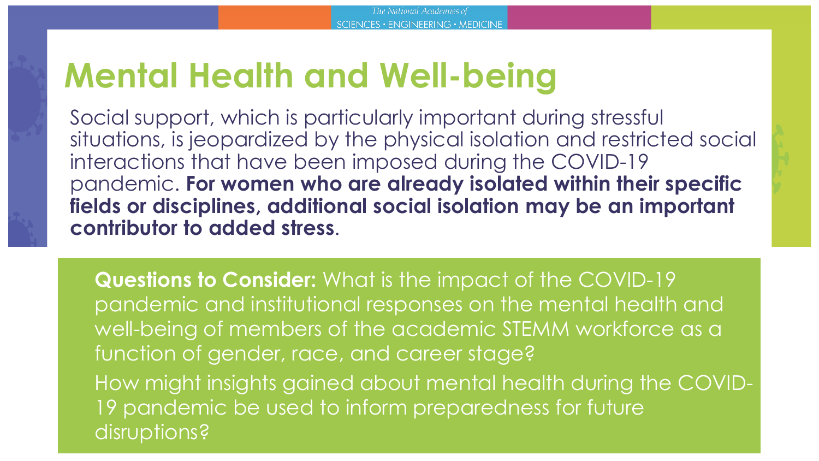### **Mental Health and Well-being**

Social support, which is particularly important during stressful situations, is jeopardized by the physical isolation and restricted social interactions that have been imposed during the COVID-19 pandemic. **For women who are already isolated within their specific fields or disciplines, additional social isolation may be an important contributor to added stress**.

**Questions to Consider:** What is the impact of the COVID-19 pandemic and institutional responses on the mental health and well-being of members of the academic STEMM workforce as a function of gender, race, and career stage? How might insights gained about mental health during the COVID-19 pandemic be used to inform preparedness for future disruptions?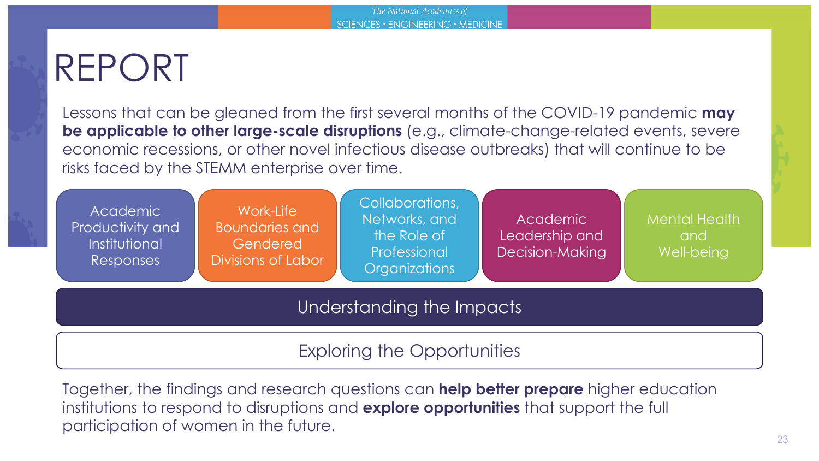### REPORT

Lessons that can be gleaned from the first several months of the COVID-19 pandemic **may be applicable to other large-scale disruptions** (e.g., climate-change-related events, severe economic recessions, or other novel infectious disease outbreaks) that will continue to be risks faced by the STEMM enterprise over time.

| Academic<br>Productivity and<br>Institutional<br>Responses | Work-Life<br><b>Boundaries and</b><br>Gendered<br>Divisions of Labor | Collaborations,<br>Networks, and<br>the Role of<br>Professional<br><b>Organizations</b> | Academic<br>Leadership and<br><b>Decision-Making</b> | <b>Mental Health</b><br>and<br>Well-being |  |  |  |
|------------------------------------------------------------|----------------------------------------------------------------------|-----------------------------------------------------------------------------------------|------------------------------------------------------|-------------------------------------------|--|--|--|
| Understanding the Impacts                                  |                                                                      |                                                                                         |                                                      |                                           |  |  |  |
|                                                            |                                                                      | <b>Exploring the Opportunities</b>                                                      |                                                      |                                           |  |  |  |

Together, the findings and research questions can **help better prepare** higher education institutions to respond to disruptions and **explore opportunities** that support the full participation of women in the future.